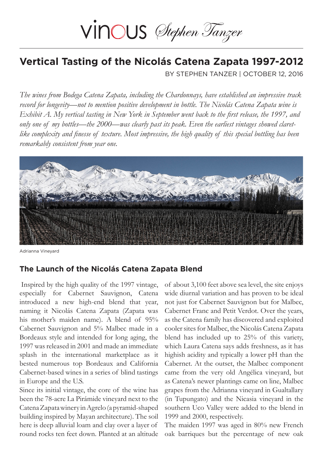# VINOUS Stephen Tanzer

## **Vertical Tasting of the Nicolás Catena Zapata 1997-2012**

BY STEPHEN TANZER | OCTOBER 12, 2016

*The wines from Bodega Catena Zapata, including the Chardonnays, have established an impressive track record for longevity—not to mention positive development in bottle. The Nicolás Catena Zapata wine is Exhibit A. My vertical tasting in New York in September went back to the first release, the 1997, and only one of my bottles—the 2000—was clearly past its peak. Even the earliest vintages showed claretlike complexity and finesse of texture. Most impressive, the high quality of this special bottling has been remarkably consistent from year one.*



Adrianna Vineyard

## **The Launch of the Nicolás Catena Zapata Blend**

Inspired by the high quality of the 1997 vintage, especially for Cabernet Sauvignon, Catena introduced a new high-end blend that year, naming it Nicolás Catena Zapata (Zapata was his mother's maiden name). A blend of 95% Cabernet Sauvignon and 5% Malbec made in a Bordeaux style and intended for long aging, the 1997 was released in 2001 and made an immediate splash in the international marketplace as it bested numerous top Bordeaux and California Cabernet-based wines in a series of blind tastings in Europe and the U.S.

Since its initial vintage, the core of the wine has been the 78-acre La Pirámide vineyard next to the Catena Zapata winery in Agrelo (a pyramid-shaped building inspired by Mayan architecture). The soil here is deep alluvial loam and clay over a layer of round rocks ten feet down. Planted at an altitude of about 3,100 feet above sea level, the site enjoys wide diurnal variation and has proven to be ideal not just for Cabernet Sauvignon but for Malbec, Cabernet Franc and Petit Verdot. Over the years, as the Catena family has discovered and exploited cooler sites for Malbec, the Nicolás Catena Zapata blend has included up to 25% of this variety, which Laura Catena says adds freshness, as it has highish acidity and typically a lower pH than the Cabernet. At the outset, the Malbec component came from the very old Angélica vineyard, but as Catena's newer plantings came on line, Malbec grapes from the Adrianna vineyard in Gualtallary (in Tupungato) and the Nicasia vineyard in the southern Uco Valley were added to the blend in 1999 and 2000, respectively.

The maiden 1997 was aged in 80% new French oak barriques but the percentage of new oak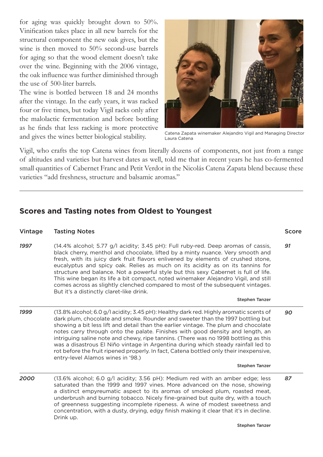for aging was quickly brought down to 50%. Vinification takes place in all new barrels for the structural component the new oak gives, but the wine is then moved to 50% second-use barrels for aging so that the wood element doesn't take over the wine. Beginning with the 2006 vintage, the oak influence was further diminished through the use of 500-liter barrels.

The wine is bottled between 18 and 24 months after the vintage. In the early years, it was racked four or five times, but today Vigil racks only after the malolactic fermentation and before bottling as he finds that less racking is more protective and gives the wines better biological stability.



Catena Zapata winemaker Alejandro Vigil and Managing Director Laura Catena

Vigil, who crafts the top Catena wines from literally dozens of components, not just from a range of altitudes and varieties but harvest dates as well, told me that in recent years he has co-fermented small quantities of Cabernet Franc and Petit Verdot in the Nicolás Catena Zapata blend because these varieties "add freshness, structure and balsamic aromas."

## **Scores and Tasting notes from Oldest to Youngest**

#### Vintage Tasting Notes

*1997* (14.4% alcohol; 5.77 g/l acidity; 3.45 pH): Full ruby-red. Deep aromas of cassis, black cherry, menthol and chocolate, lifted by a minty nuance. Very smooth and fresh, with its juicy dark fruit flavors enlivened by elements of crushed stone, eucalyptus and spicy oak. Relies as much on its acidity as on its tannins for structure and balance. Not a powerful style but this sexy Cabernet is full of life. This wine began its life a bit compact, noted winemaker Alejandro Vigil, and still comes across as slightly clenched compared to most of the subsequent vintages. But it's a distinctly claret-like drink.

### Stephen Tanzer

*1999 90* (13.8% alcohol; 6.0 g/l acidity; 3.45 pH): Healthy dark red. Highly aromatic scents of dark plum, chocolate and smoke. Rounder and sweeter than the 1997 bottling but showing a bit less lift and detail than the earlier vintage. The plum and chocolate notes carry through onto the palate. Finishes with good density and length, an intriguing saline note and chewy, ripe tannins. (There was no 1998 bottling as this was a disastrous El Niño vintage in Argentina during which steady rainfall led to rot before the fruit ripened properly. In fact, Catena bottled only their inexpensive, entry-level Alamos wines in '98.)

### Stephen Tanzer

*2000 87* (13.6% alcohol; 6.0 g/l acidity; 3.56 pH): Medium red with an amber edge; less saturated than the 1999 and 1997 vines. More advanced on the nose, showing a distinct empyreumatic aspect to its aromas of smoked plum, roasted meat, underbrush and burning tobacco. Nicely fine-grained but quite dry, with a touch of greenness suggesting incomplete ripeness. A wine of modest sweetness and concentration, with a dusty, drying, edgy finish making it clear that it's in decline. Drink up.

*91*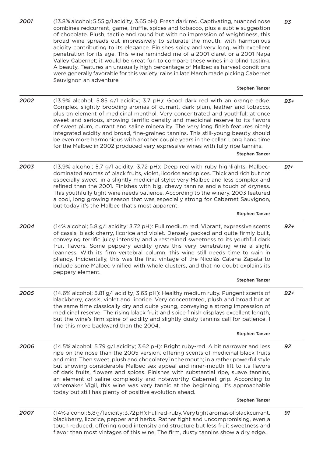*2001 2002 2003 2004 2005 2006 2007* (13.8% alcohol; 5.55 g/l acidity; 3.65 pH): Fresh dark red. Captivating, nuanced nose combines redcurrant, game, truffle, spices and tobacco, plus a subtle suggestion of chocolate. Plush, tactile and round but with no impression of weightiness, this broad wine spreads out impressively to saturate the mouth, with harmonious acidity contributing to its elegance. Finishes spicy and very long, with excellent penetration for its age. This wine reminded me of a 2001 claret or a 2001 Napa Valley Cabernet; it would be great fun to compare these wines in a blind tasting. A beauty. Features an unusually high percentage of Malbec as harvest conditions were generally favorable for this variety; rains in late March made picking Cabernet Sauvignon an adventure. Stephen Tanzer (13.9% alcohol; 5.85 g/l acidity; 3.7 pH): Good dark red with an orange edge. Complex, slightly brooding aromas of currant, dark plum, leather and tobacco, plus an element of medicinal menthol. Very concentrated and youthful; at once sweet and serious, showing terrific density and medicinal reserve to its flavors of sweet plum, currant and saline minerality. The very long finish features nicely integrated acidity and broad, fine-grained tannins. This still-young beauty should be even more harmonious with another couple years in the cellar. Long hang time for the Malbec in 2002 produced very expressive wines with fully ripe tannins. Stephen Tanzer (13.9% alcohol; 5.7 g/l acidity; 3.72 pH): Deep red with ruby highlights. Malbecdominated aromas of black fruits, violet, licorice and spices. Thick and rich but not especially sweet, in a slightly medicinal style; very Malbec and less complex and refined than the 2001. Finishes with big, chewy tannins and a touch of dryness. This youthfully tight wine needs patience. According to the winery, 2003 featured a cool, long growing season that was especially strong for Cabernet Sauvignon, but today it's the Malbec that's most apparent. Stephen Tanzer (14% alcohol; 5.8 g/l acidity; 3.72 pH): Full medium red. Vibrant, expressive scents of cassis, black cherry, licorice and violet. Densely packed and quite firmly built, conveying terrific juicy intensity and a restrained sweetness to its youthful dark fruit flavors. Some peppery acidity gives this very penetrating wine a slight leanness. With its firm vertebral column, this wine still needs time to gain in pliancy. Incidentally, this was the first vintage of the Nicolás Catena Zapata to include some Malbec vinified with whole clusters, and that no doubt explains its peppery element. Stephen Tanzer (14.6% alcohol; 5.81 g/l acidity; 3.63 pH): Healthy medium ruby. Pungent scents of blackberry, cassis, violet and licorice. Very concentrated, plush and broad but at the same time classically dry and quite young, conveying a strong impression of medicinal reserve. The rising black fruit and spice finish displays excellent length, but the wine's firm spine of acidity and slightly dusty tannins call for patience. I find this more backward than the 2004. Stephen Tanzer (14.5% alcohol; 5.79 g/l acidity; 3.62 pH): Bright ruby-red. A bit narrower and less ripe on the nose than the 2005 version, offering scents of medicinal black fruits and mint. Then sweet, plush and chocolatey in the mouth; in a rather powerful style but showing considerable Malbec sex appeal and inner-mouth lift to its flavors of dark fruits, flowers and spices. Finishes with substantial ripe, suave tannins, an element of saline complexity and noteworthy Cabernet grip. According to winemaker Vigil, this wine was very tannic at the beginning. It's approachable today but still has plenty of positive evolution ahead. Stephen Tanzer (14% alcohol; 5.8 g/l acidity; 3.72 pH): Full red-ruby. Very tight aromas of blackcurrant, blackberry, licorice, pepper and herbs. Rather tight and uncompromising, even a touch reduced, offering good intensity and structure but less fruit sweetness and flavor than most vintages of this wine. The firm, dusty tannins show a dry edge. *93 93+ 91+ 92+ 92 92+ 91*